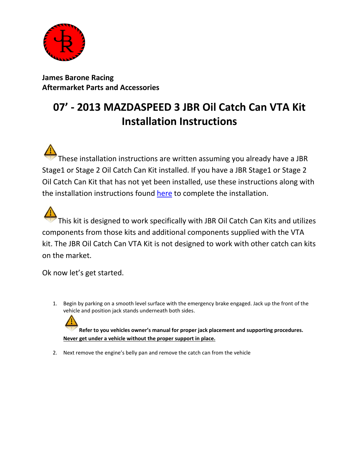

**James Barone Racing Aftermarket Parts and Accessories**

# **07' - 2013 MAZDASPEED 3 JBR Oil Catch Can VTA Kit Installation Instructions**

These installation instructions are written assuming you already have a JBR Stage1 or Stage 2 Oil Catch Can Kit installed. If you have a JBR Stage1 or Stage 2 Oil Catch Can Kit that has not yet been installed, use these instructions along with the installation instructions found [here](http://www.jamesbaroneracing.com/support/JBR%20MAZDASPEED%203%20Oil%20Catch%20Can%20Installation%20Instructions-v2.pdf) to complete the installation.

This kit is designed to work specifically with JBR Oil Catch Can Kits and utilizes components from those kits and additional components supplied with the VTA kit. The JBR Oil Catch Can VTA Kit is not designed to work with other catch can kits on the market.

Ok now let's get started.

1. Begin by parking on a smooth level surface with the emergency brake engaged. Jack up the front of the vehicle and position jack stands underneath both sides.

**Refer to you vehicles owner's manual for proper jack placement and supporting procedures. Never get under a vehicle without the proper support in place.**

2. Next remove the engine's belly pan and remove the catch can from the vehicle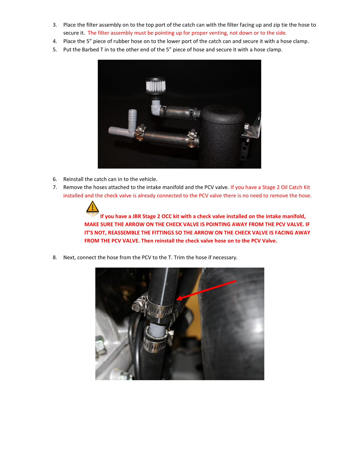- 3. Place the filter assembly on to the top port of the catch can with the filter facing up and zip tie the hose to secure it. The filter assembly must be pointing up for proper venting, not down or to the side.
- 4. Place the 5" piece of rubber hose on to the lower port of the catch can and secure it with a hose clamp.
- 5. Put the Barbed T in to the other end of the 5" piece of hose and secure it with a hose clamp.



- 6. Reinstall the catch can in to the vehicle.
- 7. Remove the hoses attached to the intake manifold and the PCV valve. If you have a Stage 2 Oil Catch Kit installed and the check valve is already connected to the PCV valve there is no need to remove the hose.

**If you have a JBR Stage 2 OCC kit with a check valve installed on the intake manifold, MAKE SURE THE ARROW ON THE CHECK VALVE IS POINTING AWAY FROM THE PCV VALVE. IF IT'S NOT, REASSEMBLE THE FITTINGS SO THE ARROW ON THE CHECK VALVE IS FACING AWAY FROM THE PCV VALVE. Then reinstall the check valve hose on to the PCV Valve.**

8. Next, connect the hose from the PCV to the T. Trim the hose if necessary.

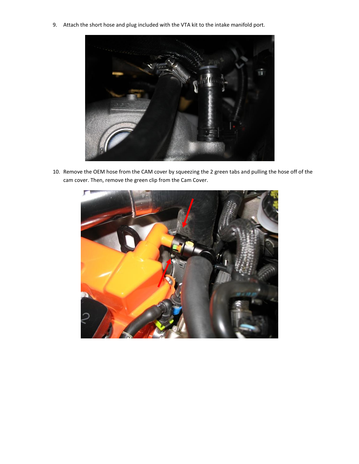9. Attach the short hose and plug included with the VTA kit to the intake manifold port.



10. Remove the OEM hose from the CAM cover by squeezing the 2 green tabs and pulling the hose off of the cam cover. Then, remove the green clip from the Cam Cover.

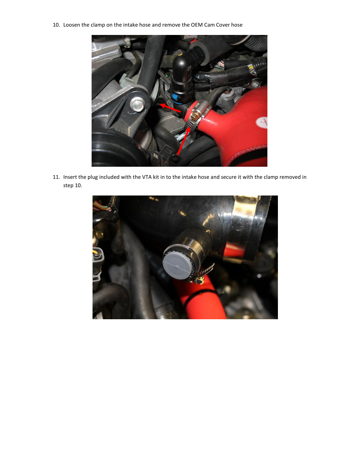10. Loosen the clamp on the intake hose and remove the OEM Cam Cover hose



11. Insert the plug included with the VTA kit in to the intake hose and secure it with the clamp removed in step 10.

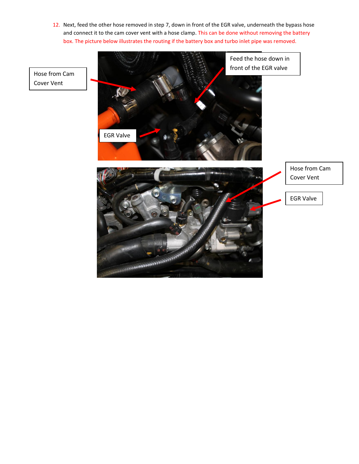12. Next, feed the other hose removed in step 7, down in front of the EGR valve, underneath the bypass hose and connect it to the cam cover vent with a hose clamp. This can be done without removing the battery box. The picture below illustrates the routing if the battery box and turbo inlet pipe was removed.

Hose from Cam Cover Vent

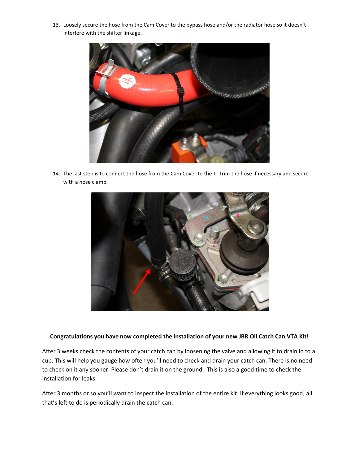13. Loosely secure the hose from the Cam Cover to the bypass hose and/or the radiator hose so it doesn't interfere with the shifter linkage.



14. The last step is to connect the hose from the Cam Cover to the T. Trim the hose if necessary and secure with a hose clamp.



#### **Congratulations you have now completed the installation of your new JBR Oil Catch Can VTA Kit!**

After 3 weeks check the contents of your catch can by loosening the valve and allowing it to drain in to a cup. This will help you gauge how often you'll need to check and drain your catch can. There is no need to check on it any sooner. Please don't drain it on the ground. This is also a good time to check the installation for leaks.

After 3 months or so you'll want to inspect the installation of the entire kit. If everything looks good, all that's left to do is periodically drain the catch can.